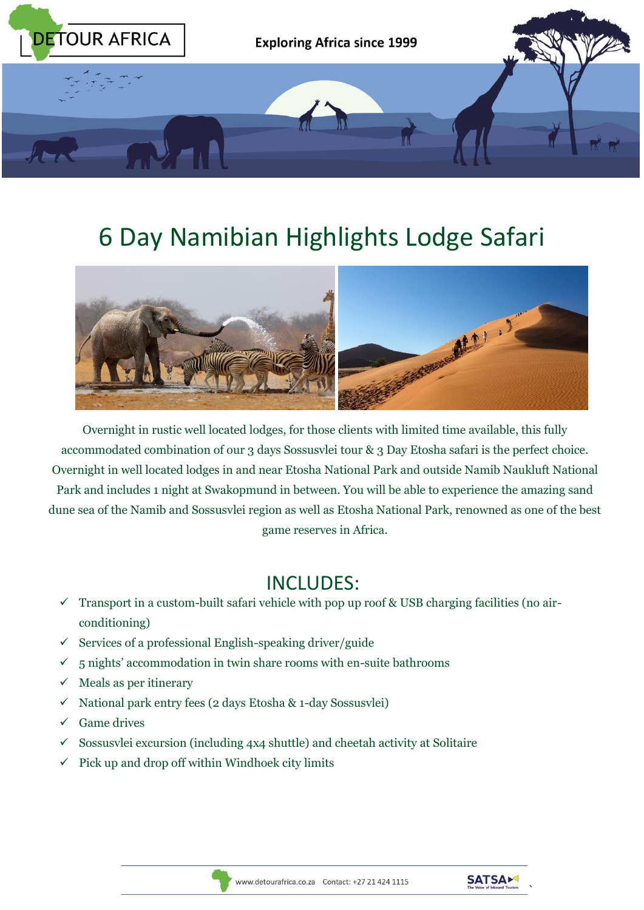

# 6 Day Namibian Highlights Lodge Safari



Overnight in rustic well located lodges, for those clients with limited time available, this fully accommodated combination of our 3 days Sossusvlei tour & 3 Day Etosha safari is the perfect choice. Overnight in well located lodges in and near Etosha National Park and outside Namib Naukluft National Park and includes 1 night at Swakopmund in between. You will be able to experience the amazing sand dune sea of the Namib and Sossusvlei region as well as Etosha National Park, renowned as one of the best game reserves in Africa.

# INCLUDES:

- $\checkmark$  Transport in a custom-built safari vehicle with pop up roof & USB charging facilities (no airconditioning)
- $\checkmark$  Services of a professional English-speaking driver/guide
- $\checkmark$  5 nights' accommodation in twin share rooms with en-suite bathrooms
- $\checkmark$  Meals as per itinerary
- $\checkmark$  National park entry fees (2 days Etosha & 1-day Sossusvlei)
- $\checkmark$  Game drives
- $\checkmark$  Sossusvlei excursion (including 4x4 shuttle) and cheetah activity at Solitaire
- $\checkmark$  Pick up and drop off within Windhoek city limits



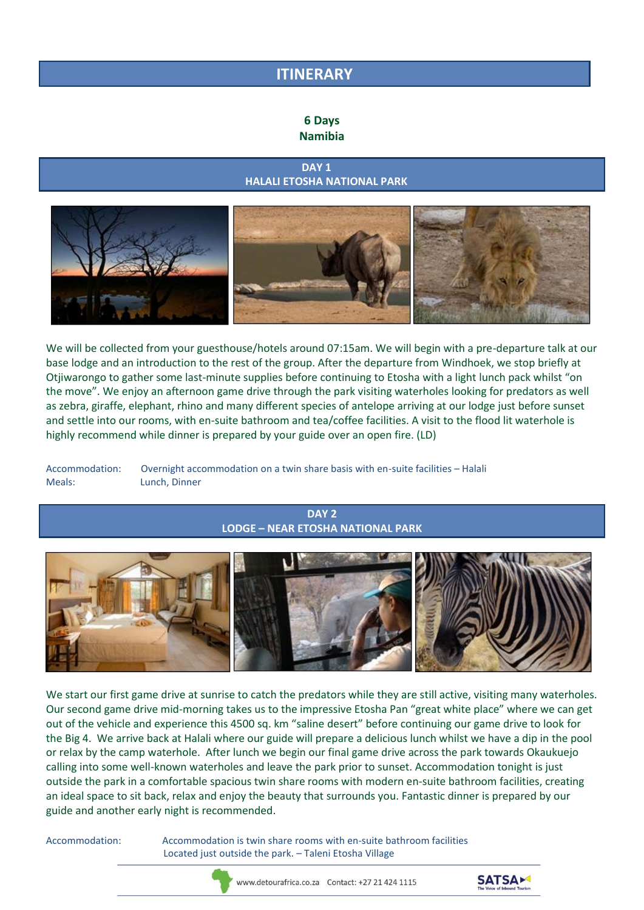## **ITINERARY**

#### **6 Days Namibia**

#### *DAY 1* DAY 1  **HALALI ETOSHA NATIONAL PARK**



We will be collected from your guesthouse/hotels around 07:15am. We will begin with a pre-departure talk at our base lodge and an introduction to the rest of the group. After the departure from Windhoek, we stop briefly at Otjiwarongo to gather some last-minute supplies before continuing to Etosha with a light lunch pack whilst "on the move". We enjoy an afternoon game drive through the park visiting waterholes looking for predators as well as zebra, giraffe, elephant, rhino and many different species of antelope arriving at our lodge just before sunset and settle into our rooms, with en-suite bathroom and tea/coffee facilities. A visit to the flood lit waterhole is highly recommend while dinner is prepared by your guide over an open fire. (LD)

Accommodation: Overnight accommodation on a twin share basis with en-suite facilities – Halali Meals: Lunch, Dinner

### **DAY 2 LODGE – NEAR ETOSHA NATIONAL PARK**



We start our first game drive at sunrise to catch the predators while they are still active, visiting many waterholes. Our second game drive mid-morning takes us to the impressive Etosha Pan "great white place" where we can get out of the vehicle and experience this 4500 sq. km "saline desert" before continuing our game drive to look for the Big 4. We arrive back at Halali where our guide will prepare a delicious lunch whilst we have a dip in the pool or relax by the camp waterhole. After lunch we begin our final game drive across the park towards Okaukuejo calling into some well-known waterholes and leave the park prior to sunset. Accommodation tonight is just outside the park in a comfortable spacious twin share rooms with modern en-suite bathroom facilities, creating an ideal space to sit back, relax and enjoy the beauty that surrounds you. Fantastic dinner is prepared by our guide and another early night is recommended.

Accommodation: Accommodation is twin share rooms with en-suite bathroom facilities Located just outside the park. – Taleni Etosha Village



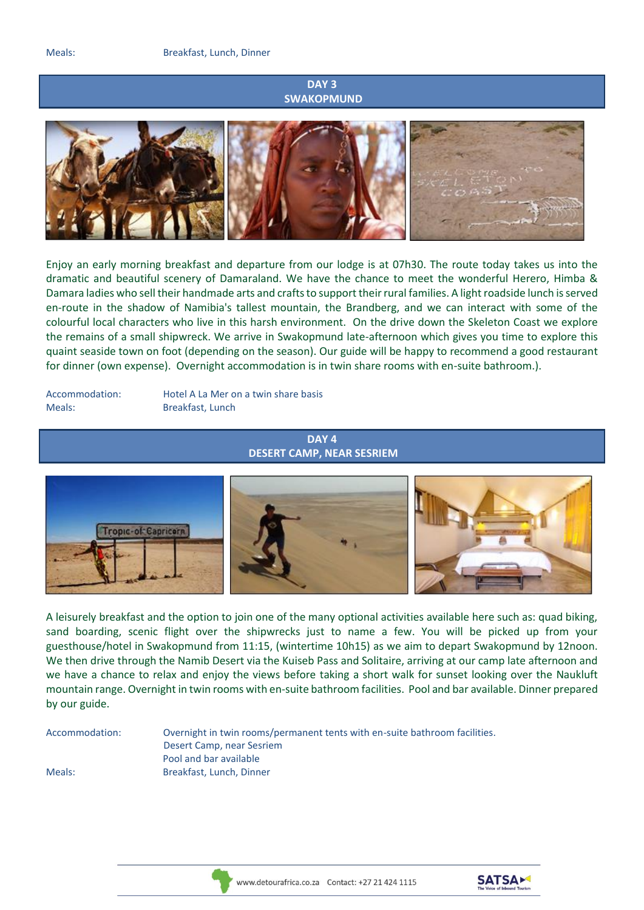#### **DAY 3 SWAKOPMUND**



Enjoy an early morning breakfast and departure from our lodge is at 07h30. The route today takes us into the dramatic and beautiful scenery of Damaraland. We have the chance to meet the wonderful Herero, Himba & Damara ladies who sell their handmade arts and crafts to support their rural families. A light roadside lunch is served en-route in the shadow of Namibia's tallest mountain, the Brandberg, and we can interact with some of the colourful local characters who live in this harsh environment. On the drive down the Skeleton Coast we explore the remains of a small shipwreck. We arrive in Swakopmund late-afternoon which gives you time to explore this quaint seaside town on foot (depending on the season). Our guide will be happy to recommend a good restaurant for dinner (own expense). Overnight accommodation is in twin share rooms with en-suite bathroom.).

Meals: Breakfast, Lunch

Accommodation: Hotel A La Mer on a twin share basis

#### **DAY 4 DESERT CAMP, NEAR SESRIEM**



A leisurely breakfast and the option to join one of the many optional activities available here such as: quad biking, sand boarding, scenic flight over the shipwrecks just to name a few. You will be picked up from your guesthouse/hotel in Swakopmund from 11:15, (wintertime 10h15) as we aim to depart Swakopmund by 12noon. We then drive through the Namib Desert via the Kuiseb Pass and Solitaire, arriving at our camp late afternoon and we have a chance to relax and enjoy the views before taking a short walk for sunset looking over the Naukluft mountain range. Overnight in twin rooms with en-suite bathroom facilities. Pool and bar available. Dinner prepared by our guide.

Accommodation: Overnight in twin rooms/permanent tents with en-suite bathroom facilities. Desert Camp, near Sesriem Pool and bar available Meals: Breakfast, Lunch, Dinner





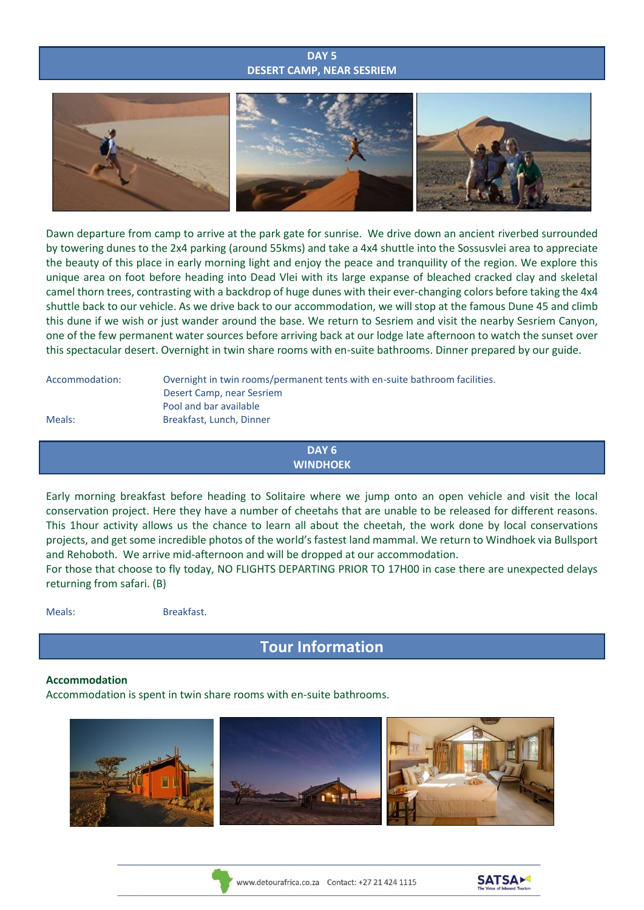#### **DAY 5 DESERT CAMP, NEAR SESRIEM**



Dawn departure from camp to arrive at the park gate for sunrise. We drive down an ancient riverbed surrounded by towering dunes to the 2x4 parking (around 55kms) and take a 4x4 shuttle into the Sossusvlei area to appreciate the beauty of this place in early morning light and enjoy the peace and tranquility of the region. We explore this unique area on foot before heading into Dead Vlei with its large expanse of bleached cracked clay and skeletal camel thorn trees, contrasting with a backdrop of huge dunes with their ever-changing colors before taking the 4x4 shuttle back to our vehicle. As we drive back to our accommodation, we will stop at the famous Dune 45 and climb this dune if we wish or just wander around the base. We return to Sesriem and visit the nearby Sesriem Canyon, one of the few permanent water sources before arriving back at our lodge late afternoon to watch the sunset over this spectacular desert. Overnight in twin share rooms with en-suite bathrooms. Dinner prepared by our guide.

Accommodation: Overnight in twin rooms/permanent tents with en-suite bathroom facilities. Desert Camp, near Sesriem Pool and bar available Meals: Breakfast, Lunch, Dinner

> **DAY 6 WINDHOEK**

Early morning breakfast before heading to Solitaire where we jump onto an open vehicle and visit the local conservation project. Here they have a number of cheetahs that are unable to be released for different reasons. This 1hour activity allows us the chance to learn all about the cheetah, the work done by local conservations projects, and get some incredible photos of the world's fastest land mammal. We return to Windhoek via Bullsport and Rehoboth. We arrive mid-afternoon and will be dropped at our accommodation.

For those that choose to fly today, NO FLIGHTS DEPARTING PRIOR TO 17H00 in case there are unexpected delays returning from safari. (B)

| <b>Meals</b> |  |  |  |  |
|--------------|--|--|--|--|
|--------------|--|--|--|--|

Breakfast.

**Tour Information**

#### **Accommodation**

Accommodation is spent in twin share rooms with en-suite bathrooms.